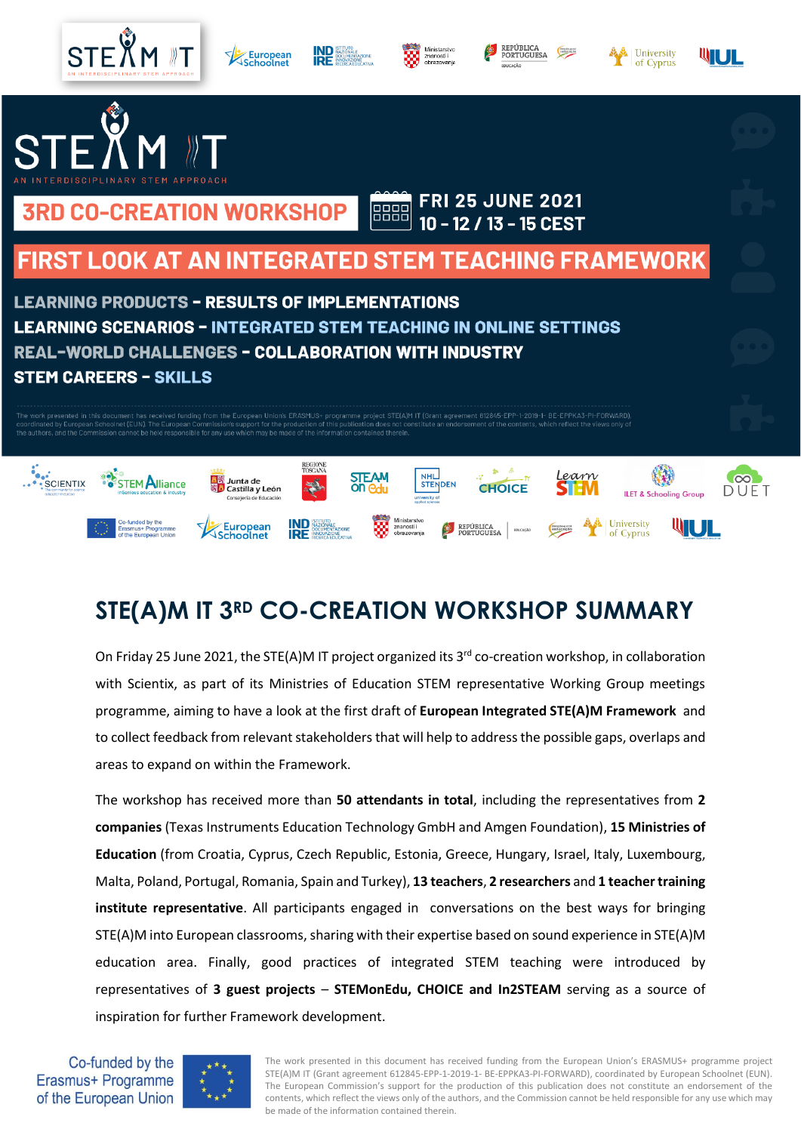

# **STE(A)M IT 3RD CO-CREATION WORKSHOP SUMMARY**

On Friday 25 June 2021, the STE(A)M IT project organized its 3<sup>rd</sup> co-creation workshop, in collaboration with Scientix, as part of its Ministries of Education STEM representative Working Group meetings programme, aiming to have a look at the first draft of **European Integrated STE(A)M Framework** and to collect feedback from relevant stakeholders that will help to addressthe possible gaps, overlaps and areas to expand on within the Framework.

The workshop has received more than **50 attendants in total**, including the representatives from **2 companies** (Texas Instruments Education Technology GmbH and Amgen Foundation), **15 Ministries of Education** (from Croatia, Cyprus, Czech Republic, Estonia, Greece, Hungary, Israel, Italy, Luxembourg, Malta, Poland, Portugal, Romania, Spain and Turkey), **13 teachers**, **2 researchers** and **1 teacher training institute representative**. All participants engaged in conversations on the best ways for bringing STE(A)M into European classrooms, sharing with their expertise based on sound experience in STE(A)M education area. Finally, good practices of integrated STEM teaching were introduced by representatives of **3 guest projects** – **STEMonEdu, CHOICE and In2STEAM** serving as a source of inspiration for further Framework development.





The work presented in this document has received funding from the European Union's ERASMUS+ programme project STE(A)M IT (Grant agreement 612845-EPP-1-2019-1- BE-EPPKA3-PI-FORWARD), coordinated by European Schoolnet (EUN). The European Commission's support for the production of this publication does not constitute an endorsement of the contents, which reflect the views only of the authors, and the Commission cannot be held responsible for any use which may be made of the information contained therein.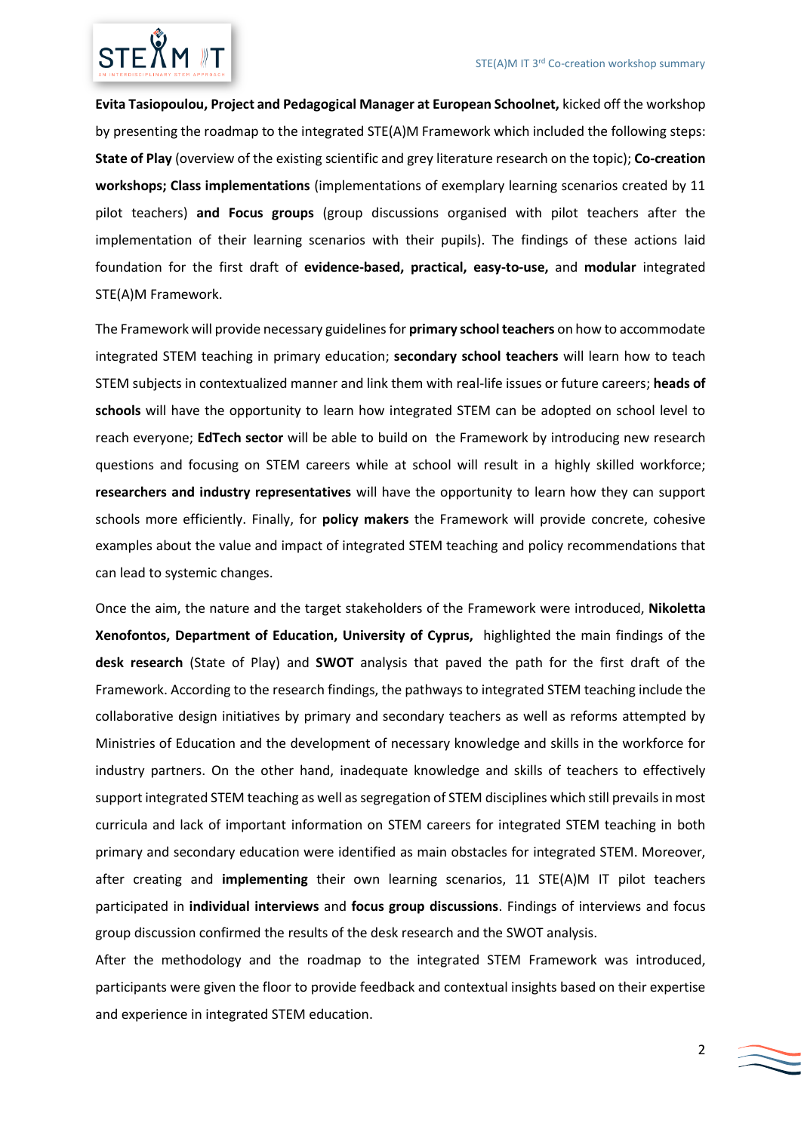

**Evita Tasiopoulou, Project and Pedagogical Manager at European Schoolnet,** kicked off the workshop by presenting the roadmap to the integrated STE(A)M Framework which included the following steps: **State of Play** (overview of the existing scientific and grey literature research on the topic); **Co-creation workshops; Class implementations** (implementations of exemplary learning scenarios created by 11 pilot teachers) **and Focus groups** (group discussions organised with pilot teachers after the implementation of their learning scenarios with their pupils). The findings of these actions laid foundation for the first draft of **evidence-based, practical, easy-to-use,** and **modular** integrated STE(A)M Framework.

The Framework will provide necessary guidelines for **primary school teachers** on how to accommodate integrated STEM teaching in primary education; **secondary school teachers** will learn how to teach STEM subjects in contextualized manner and link them with real-life issues or future careers; **heads of schools** will have the opportunity to learn how integrated STEM can be adopted on school level to reach everyone; **EdTech sector** will be able to build on the Framework by introducing new research questions and focusing on STEM careers while at school will result in a highly skilled workforce; **researchers and industry representatives** will have the opportunity to learn how they can support schools more efficiently. Finally, for **policy makers** the Framework will provide concrete, cohesive examples about the value and impact of integrated STEM teaching and policy recommendations that can lead to systemic changes.

Once the aim, the nature and the target stakeholders of the Framework were introduced, **Nikoletta Xenofontos, Department of Education, University of Cyprus,** highlighted the main findings of the **desk research** (State of Play) and **SWOT** analysis that paved the path for the first draft of the Framework. According to the research findings, the pathways to integrated STEM teaching include the collaborative design initiatives by primary and secondary teachers as well as reforms attempted by Ministries of Education and the development of necessary knowledge and skills in the workforce for industry partners. On the other hand, inadequate knowledge and skills of teachers to effectively support integrated STEM teaching as well as segregation of STEM disciplines which still prevails in most curricula and lack of important information on STEM careers for integrated STEM teaching in both primary and secondary education were identified as main obstacles for integrated STEM. Moreover, after creating and **implementing** their own learning scenarios, 11 STE(A)M IT pilot teachers participated in **individual interviews** and **focus group discussions**. Findings of interviews and focus group discussion confirmed the results of the desk research and the SWOT analysis.

After the methodology and the roadmap to the integrated STEM Framework was introduced, participants were given the floor to provide feedback and contextual insights based on their expertise and experience in integrated STEM education.

 $\sum$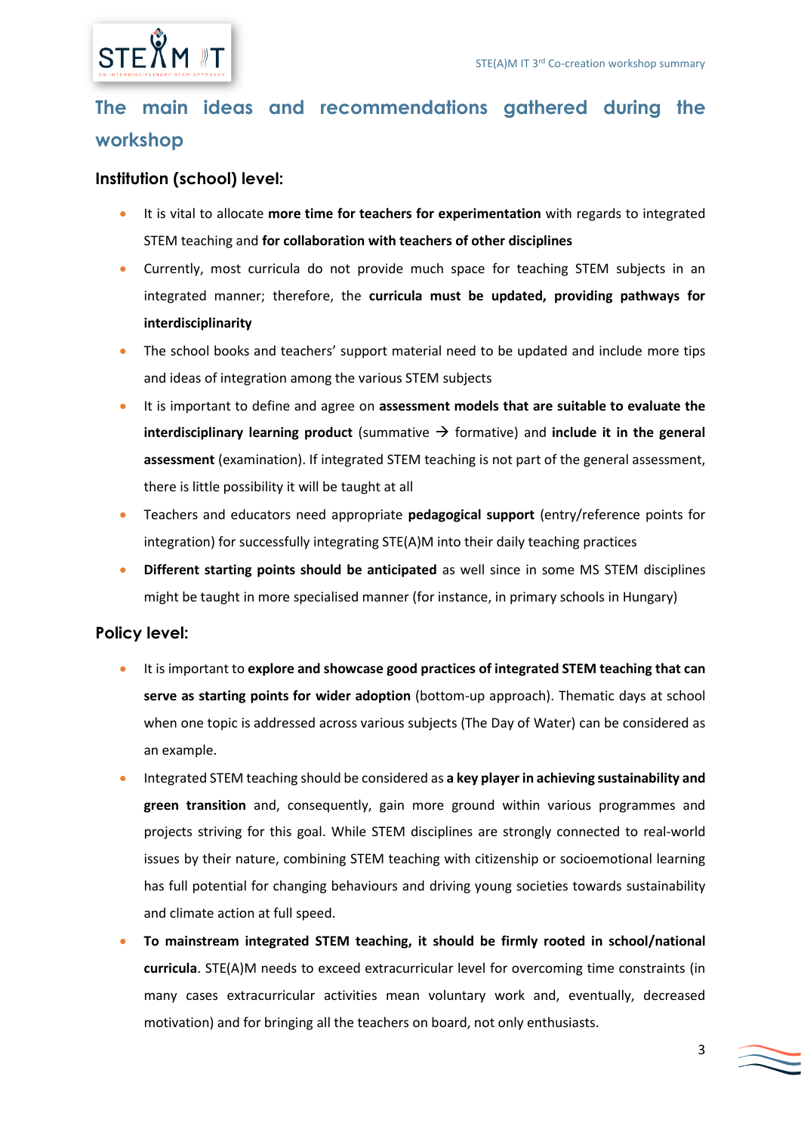

## **The main ideas and recommendations gathered during the workshop**

#### **Institution (school) level:**

- It is vital to allocate **more time for teachers for experimentation** with regards to integrated STEM teaching and **for collaboration with teachers of other disciplines**
- Currently, most curricula do not provide much space for teaching STEM subjects in an integrated manner; therefore, the **curricula must be updated, providing pathways for interdisciplinarity**
- The school books and teachers' support material need to be updated and include more tips and ideas of integration among the various STEM subjects
- It is important to define and agree on **assessment models that are suitable to evaluate the interdisciplinary learning product** (summative  $\rightarrow$  formative) and **include it in the general assessment** (examination). If integrated STEM teaching is not part of the general assessment, there is little possibility it will be taught at all
- Teachers and educators need appropriate **pedagogical support** (entry/reference points for integration) for successfully integrating STE(A)M into their daily teaching practices
- **Different starting points should be anticipated** as well since in some MS STEM disciplines might be taught in more specialised manner (for instance, in primary schools in Hungary)

#### **Policy level:**

- It is important to **explore and showcase good practices of integrated STEM teaching that can serve as starting points for wider adoption** (bottom-up approach). Thematic days at school when one topic is addressed across various subjects (The Day of Water) can be considered as an example.
- Integrated STEM teaching should be considered as **a key player in achieving sustainability and green transition** and, consequently, gain more ground within various programmes and projects striving for this goal. While STEM disciplines are strongly connected to real-world issues by their nature, combining STEM teaching with citizenship or socioemotional learning has full potential for changing behaviours and driving young societies towards sustainability and climate action at full speed.
- **To mainstream integrated STEM teaching, it should be firmly rooted in school/national curricula**. STE(A)M needs to exceed extracurricular level for overcoming time constraints (in many cases extracurricular activities mean voluntary work and, eventually, decreased motivation) and for bringing all the teachers on board, not only enthusiasts.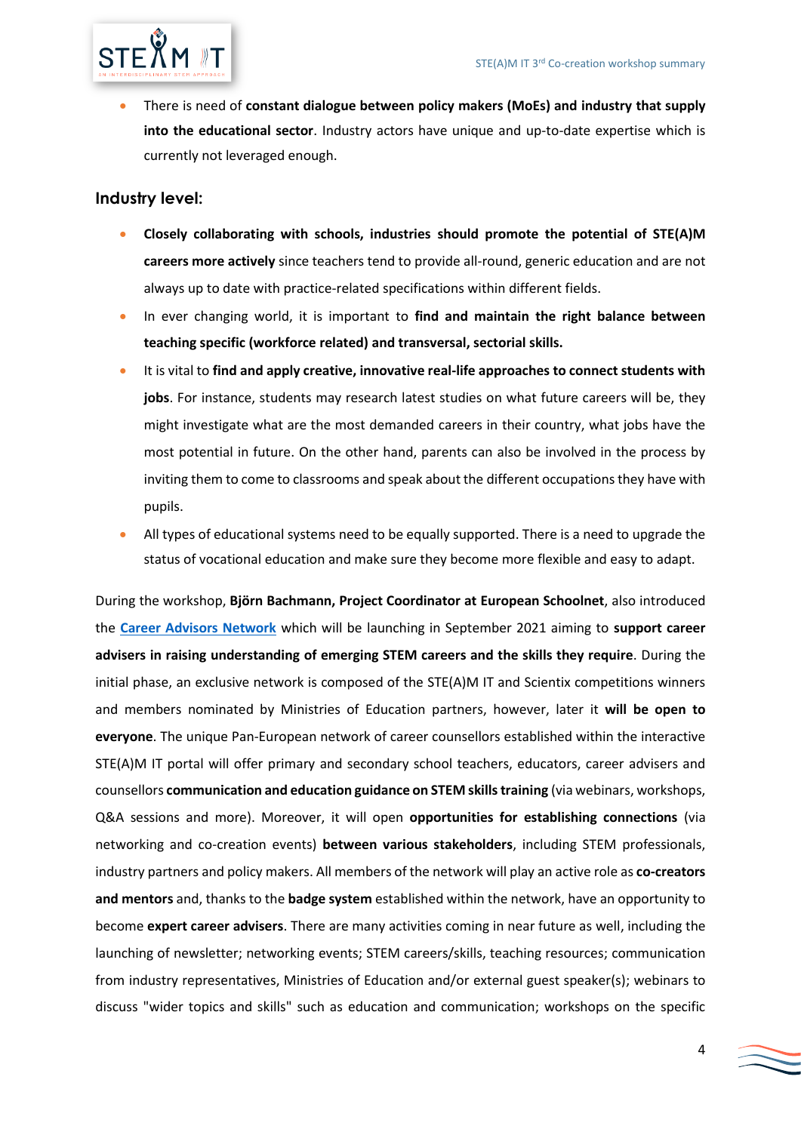

• There is need of **constant dialogue between policy makers (MoEs) and industry that supply into the educational sector**. Industry actors have unique and up-to-date expertise which is currently not leveraged enough.

#### **Industry level:**

- **Closely collaborating with schools, industries should promote the potential of STE(A)M careers more actively** since teachers tend to provide all-round, generic education and are not always up to date with practice-related specifications within different fields.
- In ever changing world, it is important to **find and maintain the right balance between teaching specific (workforce related) and transversal, sectorial skills.**
- It is vital to **find and apply creative, innovative real-life approaches to connect students with jobs**. For instance, students may research latest studies on what future careers will be, they might investigate what are the most demanded careers in their country, what jobs have the most potential in future. On the other hand, parents can also be involved in the process by inviting them to come to classrooms and speak about the different occupations they have with pupils.
- All types of educational systems need to be equally supported. There is a need to upgrade the status of vocational education and make sure they become more flexible and easy to adapt.

During the workshop, **Björn Bachmann, Project Coordinator at European Schoolnet**, also introduced the **[Career Advisors Network](http://steamit.eun.org/career-advisors-network/)** which will be launching in September 2021 aiming to **support career advisers in raising understanding of emerging STEM careers and the skills they require**. During the initial phase, an exclusive network is composed of the STE(A)M IT and Scientix competitions winners and members nominated by Ministries of Education partners, however, later it **will be open to everyone**. The unique Pan-European network of career counsellors established within the interactive STE(A)M IT portal will offer primary and secondary school teachers, educators, career advisers and counsellors **communication and education guidance on STEM skills training** (via webinars, workshops, Q&A sessions and more). Moreover, it will open **opportunities for establishing connections** (via networking and co-creation events) **between various stakeholders**, including STEM professionals, industry partners and policy makers. All members of the network will play an active role as **co-creators and mentors** and, thanks to the **badge system** established within the network, have an opportunity to become **expert career advisers**. There are many activities coming in near future as well, including the launching of newsletter; networking events; STEM careers/skills, teaching resources; communication from industry representatives, Ministries of Education and/or external guest speaker(s); webinars to discuss "wider topics and skills" such as education and communication; workshops on the specific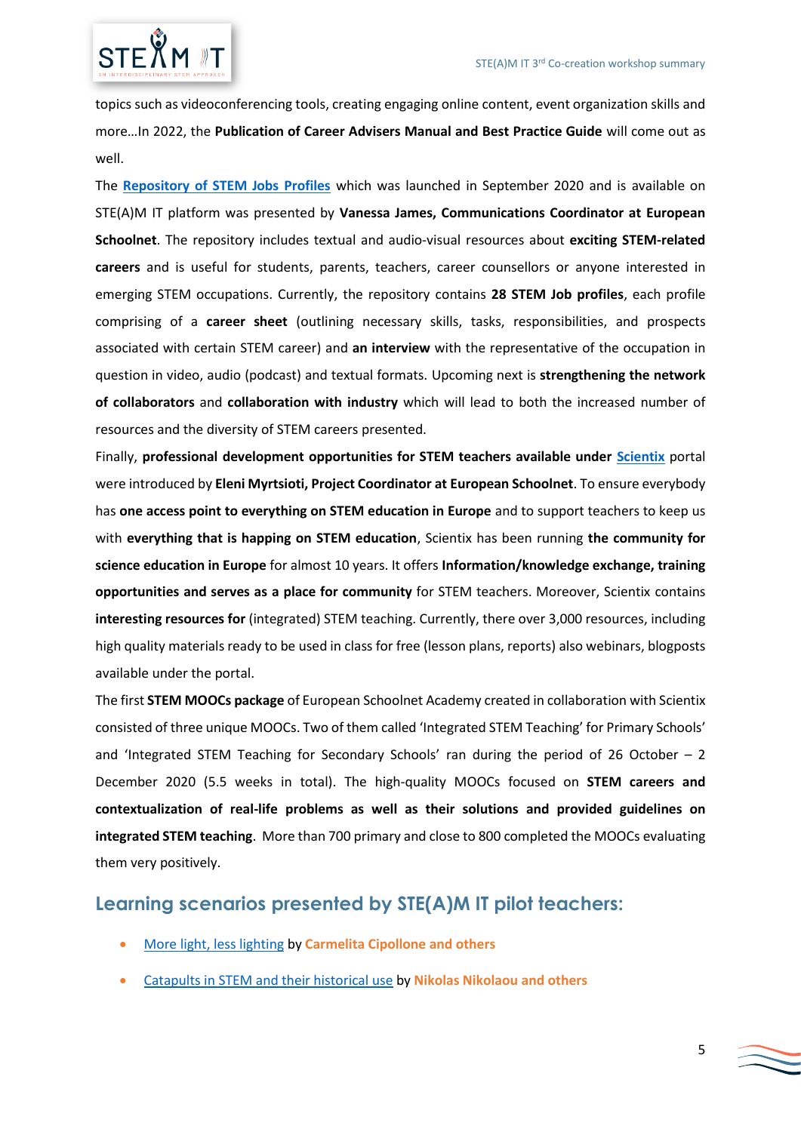

topics such as videoconferencing tools, creating engaging online content, event organization skills and more…In 2022, the **Publication of Career Advisers Manual and Best Practice Guide** will come out as well.

The **[Repository of STEM Jobs Profiles](http://steamit.eun.org/category/stem-careers/)** which was launched in September 2020 and is available on STE(A)M IT platform was presented by **Vanessa James, Communications Coordinator at European Schoolnet**. The repository includes textual and audio-visual resources about **exciting STEM-related careers** and is useful for students, parents, teachers, career counsellors or anyone interested in emerging STEM occupations. Currently, the repository contains **28 STEM Job profiles**, each profile comprising of a **career sheet** (outlining necessary skills, tasks, responsibilities, and prospects associated with certain STEM career) and **an interview** with the representative of the occupation in question in video, audio (podcast) and textual formats. Upcoming next is **strengthening the network of collaborators** and **collaboration with industry** which will lead to both the increased number of resources and the diversity of STEM careers presented.

Finally, **professional development opportunities for STEM teachers available under [Scientix](http://www.scientix.eu/)** portal were introduced by **Eleni Myrtsioti, Project Coordinator at European Schoolnet**. To ensure everybody has **one access point to everything on STEM education in Europe** and to support teachers to keep us with **everything that is happing on STEM education**, Scientix has been running **the community for science education in Europe** for almost 10 years. It offers **Information/knowledge exchange, training opportunities and serves as a place for community** for STEM teachers. Moreover, Scientix contains **interesting resources for** (integrated) STEM teaching. Currently, there over 3,000 resources, including high quality materials ready to be used in class for free (lesson plans, reports) also webinars, blogposts available under the portal.

The first **STEM MOOCs package** of European Schoolnet Academy created in collaboration with Scientix consisted of three unique MOOCs. Two of them called 'Integrated STEM Teaching' for Primary Schools' and 'Integrated STEM Teaching for Secondary Schools' ran during the period of 26 October  $-2$ December 2020 (5.5 weeks in total). The high-quality MOOCs focused on **STEM careers and contextualization of real-life problems as well as their solutions and provided guidelines on integrated STEM teaching**. More than 700 primary and close to 800 completed the MOOCs evaluating them very positively.

#### **Learning scenarios presented by STE(A)M IT pilot teachers:**

- [More light, less lighting](http://steamit.eun.org/more-light-less-lighting/) by **Carmelita Cipollone and others**
- [Catapults in STEM and their historical use](http://steamit.eun.org/catapults-in-stem-and-their-historical-use/) by **Nikolas Nikolaou and others**

 $\sum$